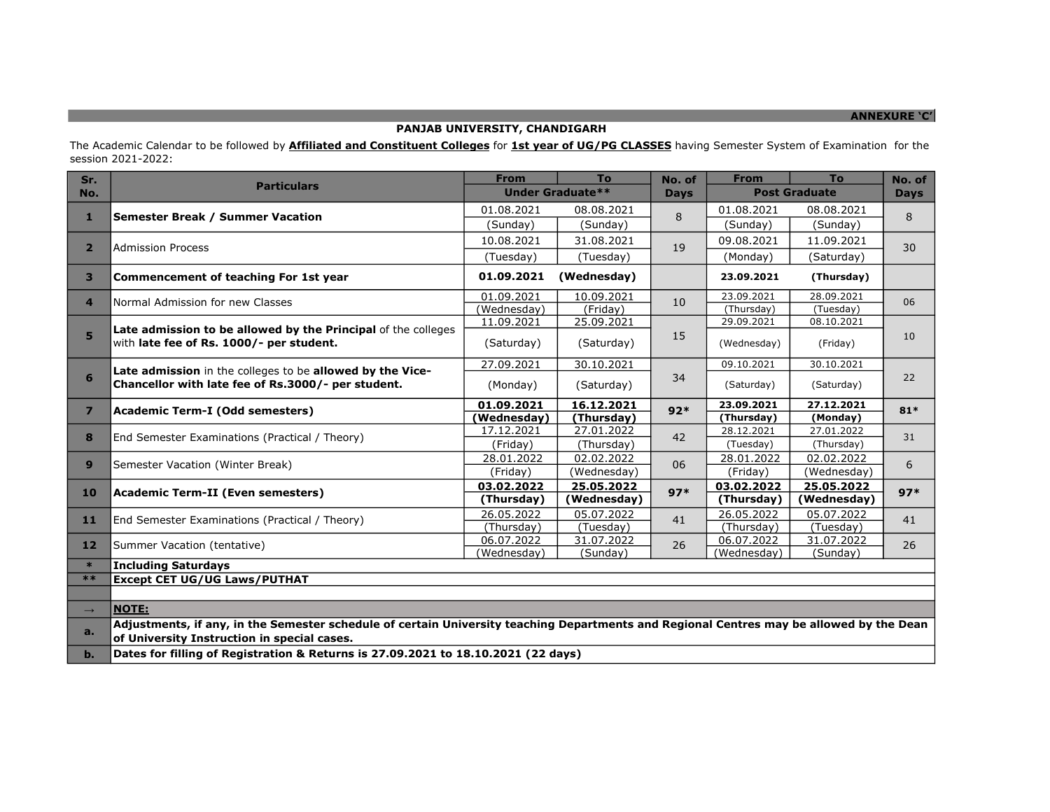## ANNEXURE 'C'

# PANJAB UNIVERSITY, CHANDIGARH

The Academic Calendar to be followed by *Affiliated and Constituent Colleges* for 1st year of UG/PG CLASSES having Semester System of Examination for the session 2021-2022:

| Sr.            | <b>Particulars</b>                                                                                                                                                                      | <b>From</b>             | <b>To</b>   | No. of      | <b>From</b>          | <b>To</b>   | No. of      |
|----------------|-----------------------------------------------------------------------------------------------------------------------------------------------------------------------------------------|-------------------------|-------------|-------------|----------------------|-------------|-------------|
| No.            |                                                                                                                                                                                         | <b>Under Graduate**</b> |             | <b>Days</b> | <b>Post Graduate</b> |             | <b>Days</b> |
| $\mathbf{1}$   | <b>Semester Break / Summer Vacation</b>                                                                                                                                                 | 01.08.2021              | 08.08.2021  | 8           | 01.08.2021           | 08.08.2021  | 8           |
|                |                                                                                                                                                                                         | (Sunday)                | (Sunday)    |             | (Sunday)             | (Sunday)    |             |
|                |                                                                                                                                                                                         | 10.08.2021              | 31.08.2021  | 19          | 09.08.2021           | 11.09.2021  | 30          |
| $\overline{2}$ | <b>Admission Process</b>                                                                                                                                                                | (Tuesday)               | (Tuesday)   |             | (Monday)             | (Saturday)  |             |
| 3              | Commencement of teaching For 1st year                                                                                                                                                   | 01.09.2021              | (Wednesday) |             | 23.09.2021           | (Thursday)  |             |
| 4              | Normal Admission for new Classes                                                                                                                                                        | 01.09.2021              | 10.09.2021  | 10          | 23.09.2021           | 28.09.2021  | 06          |
|                |                                                                                                                                                                                         | (Wednesday)             | (Friday)    |             | (Thursday)           | (Tuesday)   |             |
|                | Late admission to be allowed by the Principal of the colleges                                                                                                                           | 11.09.2021              | 25.09.2021  |             | 29.09.2021           | 08.10.2021  |             |
| 5              | with late fee of Rs. 1000/- per student.                                                                                                                                                | (Saturday)              | (Saturday)  | 15          | (Wednesday)          | (Friday)    | 10          |
|                | Late admission in the colleges to be allowed by the Vice-<br>Chancellor with late fee of Rs.3000/- per student.                                                                         | 27.09.2021              | 30.10.2021  |             | 09.10.2021           | 30.10.2021  | 22          |
| 6              |                                                                                                                                                                                         | (Monday)                | (Saturday)  | 34          | (Saturday)           | (Saturday)  |             |
| $\overline{ }$ | Academic Term-I (Odd semesters)                                                                                                                                                         | 01.09.2021              | 16.12.2021  | $92*$       | 23.09.2021           | 27.12.2021  | $81*$       |
|                |                                                                                                                                                                                         | (Wednesday)             | (Thursday)  |             | (Thursday)           | (Monday)    |             |
| 8              | End Semester Examinations (Practical / Theory)                                                                                                                                          | 17.12.2021              | 27.01.2022  | 42          | 28.12.2021           | 27.01.2022  | 31          |
|                |                                                                                                                                                                                         | (Friday)                | (Thursday)  |             | (Tuesday)            | (Thursday)  |             |
| 9              | Semester Vacation (Winter Break)                                                                                                                                                        | 28.01.2022              | 02.02.2022  | 06          | 28.01.2022           | 02.02.2022  | 6           |
|                |                                                                                                                                                                                         | (Friday)                | (Wednesday) |             | (Friday)             | (Wednesday) |             |
|                | Academic Term-II (Even semesters)                                                                                                                                                       | 03.02.2022              | 25.05.2022  | $97*$       | 03.02.2022           | 25.05.2022  | $97*$       |
| 10             |                                                                                                                                                                                         | (Thursday)              | (Wednesday) |             | (Thursday)           | (Wednesday) |             |
| 11             | End Semester Examinations (Practical / Theory)                                                                                                                                          | 26.05.2022              | 05.07.2022  | 41          | 26.05.2022           | 05.07.2022  | 41          |
|                |                                                                                                                                                                                         | (Thursday)              | (Tuesday)   |             | (Thursday)           | (Tuesday)   |             |
| 12             | Summer Vacation (tentative)                                                                                                                                                             | 06.07.2022              | 31.07.2022  | 26          | 06.07.2022           | 31.07.2022  | 26          |
|                |                                                                                                                                                                                         | (Wednesday)             | (Sunday)    |             | (Wednesday)          | (Sunday)    |             |
| $\ast$         | <b>Including Saturdays</b>                                                                                                                                                              |                         |             |             |                      |             |             |
| $***$          | <b>Except CET UG/UG Laws/PUTHAT</b>                                                                                                                                                     |                         |             |             |                      |             |             |
|                |                                                                                                                                                                                         |                         |             |             |                      |             |             |
| $\rightarrow$  | <b>NOTE:</b>                                                                                                                                                                            |                         |             |             |                      |             |             |
| a.             | Adjustments, if any, in the Semester schedule of certain University teaching Departments and Regional Centres may be allowed by the Dean<br>of University Instruction in special cases. |                         |             |             |                      |             |             |
| $b$ .          | Dates for filling of Registration & Returns is 27.09.2021 to 18.10.2021 (22 days)                                                                                                       |                         |             |             |                      |             |             |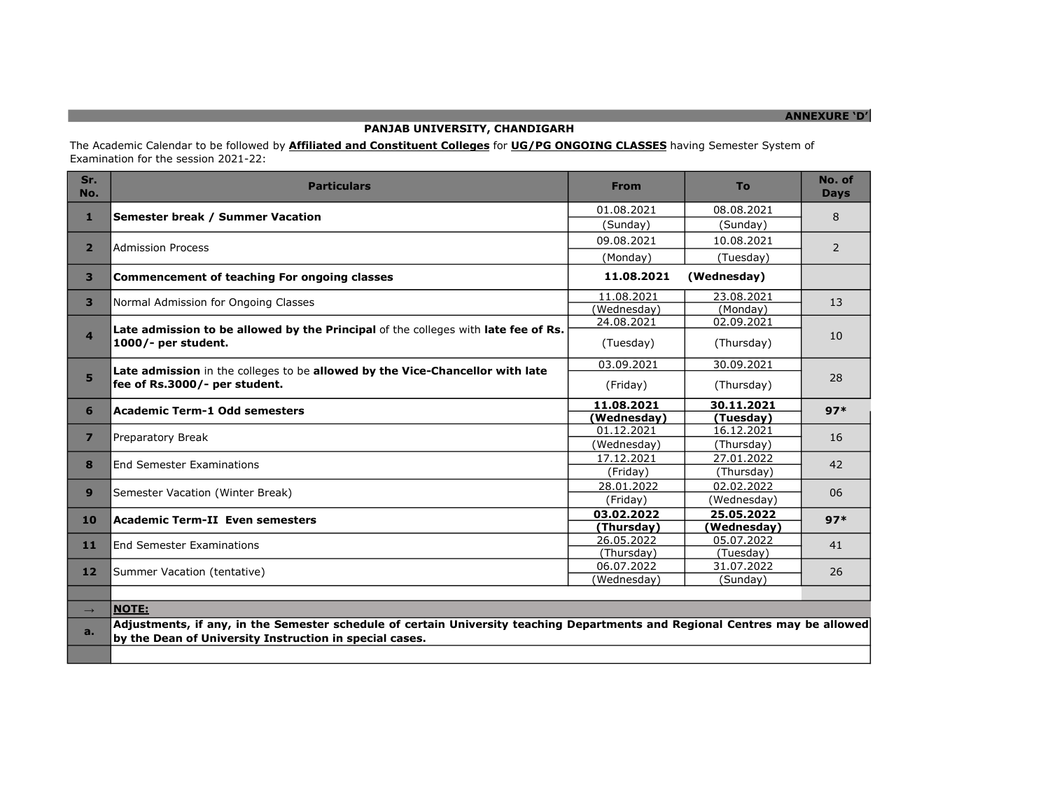## PANJAB UNIVERSITY, CHANDIGARH

The Academic Calendar to be followed by *Affiliated and Constituent Colleges* for *UG/PG ONGOING CLASSES* having Semester System of Examination for the session 2021-22:

| Sr.<br>No.              | <b>Particulars</b>                                                                                                                                                                      | <b>From</b>               | To                        | No. of<br><b>Days</b> |  |  |
|-------------------------|-----------------------------------------------------------------------------------------------------------------------------------------------------------------------------------------|---------------------------|---------------------------|-----------------------|--|--|
| $\mathbf{1}$            | Semester break / Summer Vacation                                                                                                                                                        | 01.08.2021                | 08.08.2021                | 8                     |  |  |
|                         |                                                                                                                                                                                         | (Sunday)                  | (Sunday)                  |                       |  |  |
| $\overline{2}$          | <b>Admission Process</b>                                                                                                                                                                | 09.08.2021                | 10.08.2021                | $\overline{2}$        |  |  |
|                         |                                                                                                                                                                                         | (Monday)                  | (Tuesday)                 |                       |  |  |
| $\overline{\mathbf{3}}$ | <b>Commencement of teaching For ongoing classes</b>                                                                                                                                     | 11.08.2021<br>(Wednesday) |                           |                       |  |  |
| 3                       | Normal Admission for Ongoing Classes                                                                                                                                                    | 11.08.2021                | 23.08.2021                | 13                    |  |  |
|                         |                                                                                                                                                                                         | (Wednesdav)               | (Monday)                  |                       |  |  |
|                         | Late admission to be allowed by the Principal of the colleges with late fee of Rs.<br>1000/- per student.                                                                               | 24.08.2021                | 02.09.2021                | 10                    |  |  |
| $\overline{a}$          |                                                                                                                                                                                         | (Tuesday)                 | (Thursday)                |                       |  |  |
|                         | Late admission in the colleges to be allowed by the Vice-Chancellor with late<br>fee of Rs.3000/- per student.                                                                          | 03.09.2021                | 30.09.2021                | 28                    |  |  |
| 5                       |                                                                                                                                                                                         | (Friday)                  | (Thursday)                |                       |  |  |
| 6                       | Academic Term-1 Odd semesters                                                                                                                                                           | 11.08.2021                | 30.11.2021                | $97*$                 |  |  |
|                         |                                                                                                                                                                                         | (Wednesday)               | (Tuesday)                 |                       |  |  |
| $\overline{7}$          | Preparatory Break                                                                                                                                                                       | 01.12.2021                | 16.12.2021                | 16                    |  |  |
|                         |                                                                                                                                                                                         | (Wednesday)               | (Thursday)                |                       |  |  |
| 8                       | <b>End Semester Examinations</b>                                                                                                                                                        | 17.12.2021                | 27.01.2022                | 42                    |  |  |
|                         |                                                                                                                                                                                         | (Friday)                  | (Thursday)                |                       |  |  |
| 9                       | Semester Vacation (Winter Break)                                                                                                                                                        | 28.01.2022                | 02.02.2022                | 06                    |  |  |
|                         |                                                                                                                                                                                         | (Friday)                  | (Wednesday)               |                       |  |  |
| <b>10</b>               | <b>Academic Term-II Even semesters</b>                                                                                                                                                  | 03.02.2022                | 25.05.2022                | $97*$                 |  |  |
| 11                      |                                                                                                                                                                                         | (Thursday)<br>26.05.2022  | (Wednesday)<br>05.07.2022 |                       |  |  |
|                         | <b>End Semester Examinations</b>                                                                                                                                                        | (Thursday)                | (Tuesday)                 | 41                    |  |  |
| 12                      |                                                                                                                                                                                         | 06.07.2022                | 31.07.2022                |                       |  |  |
|                         | Summer Vacation (tentative)                                                                                                                                                             | (Wednesday)               | (Sunday)                  | 26                    |  |  |
|                         |                                                                                                                                                                                         |                           |                           |                       |  |  |
| $\rightarrow$           | <b>NOTE:</b>                                                                                                                                                                            |                           |                           |                       |  |  |
| a.                      | Adjustments, if any, in the Semester schedule of certain University teaching Departments and Regional Centres may be allowed<br>by the Dean of University Instruction in special cases. |                           |                           |                       |  |  |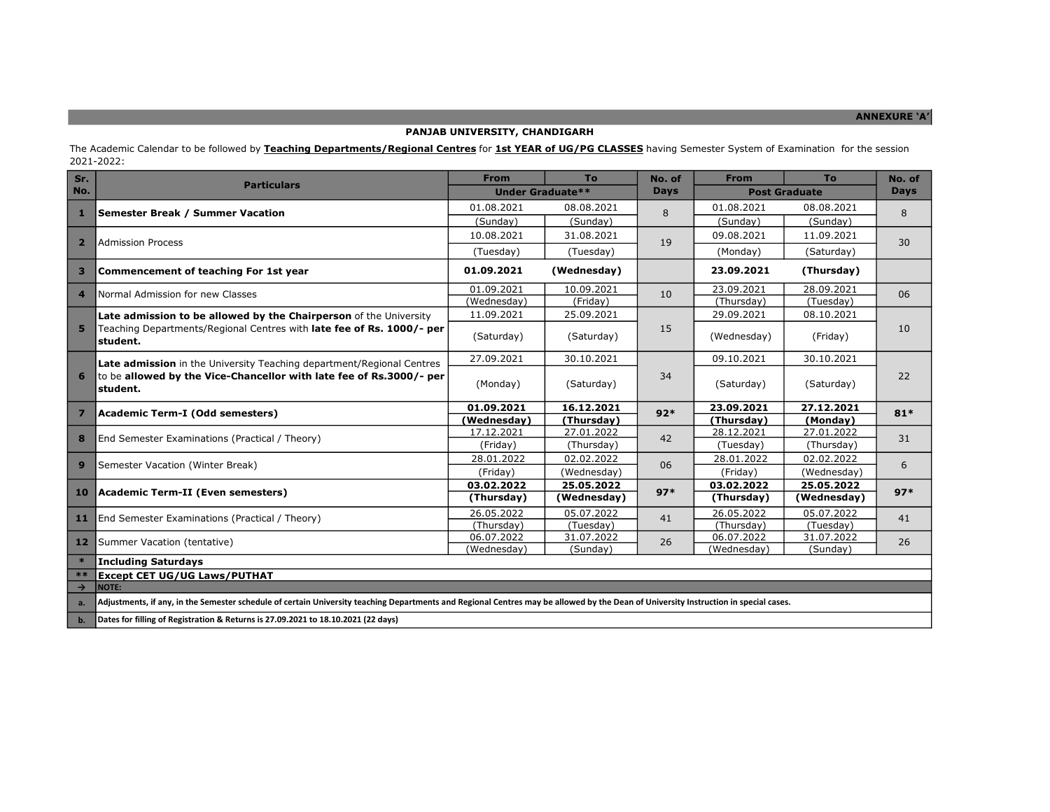ANNEXURE 'A'

#### PANJAB UNIVERSITY, CHANDIGARH

The Academic Calendar to be followed by **Teaching Departments/Regional Centres** for 1st YEAR of UG/PG CLASSES having Semester System of Examination for the session 2021-2022:

| Sr.            | <b>Particulars</b>                                                                                                                                                                   | <b>From</b>              | To                      | No. of     | <b>From</b>          | To          | No. of      |
|----------------|--------------------------------------------------------------------------------------------------------------------------------------------------------------------------------------|--------------------------|-------------------------|------------|----------------------|-------------|-------------|
| No.            |                                                                                                                                                                                      |                          | <b>Under Graduate**</b> |            | <b>Post Graduate</b> |             | <b>Days</b> |
| 1              | <b>Semester Break / Summer Vacation</b>                                                                                                                                              | 01.08.2021               | 08.08.2021              | 8          | 01.08.2021           | 08.08.2021  | 8           |
|                |                                                                                                                                                                                      | (Sunday)<br>(Sunday)     |                         | (Sunday)   | (Sunday)             |             |             |
| $\overline{2}$ | Admission Process                                                                                                                                                                    | 10.08.2021               | 31.08.2021              | 19         | 09.08.2021           | 11.09.2021  | 30          |
|                |                                                                                                                                                                                      | (Tuesday)                | (Tuesday)               |            | (Monday)             | (Saturday)  |             |
| 3              | <b>Commencement of teaching For 1st year</b>                                                                                                                                         | 01.09.2021               | (Wednesday)             |            | 23.09.2021           | (Thursday)  |             |
| $\overline{4}$ | Normal Admission for new Classes                                                                                                                                                     | 01.09.2021               | 10.09.2021              | 10         | 23.09.2021           | 28.09.2021  | 06          |
|                |                                                                                                                                                                                      | (Wednesday)              | (Friday)                |            | (Thursday)           | (Tuesday)   |             |
|                | Late admission to be allowed by the Chairperson of the University                                                                                                                    | 11.09.2021               | 25.09.2021              |            | 29.09.2021           | 08.10.2021  | 10          |
| 5              | Teaching Departments/Regional Centres with late fee of Rs. 1000/- per<br>student.                                                                                                    | (Saturday)               | (Saturday)              | 15         | (Wednesday)          | (Friday)    |             |
|                | Late admission in the University Teaching department/Regional Centres<br>to be allowed by the Vice-Chancellor with late fee of Rs.3000/- per<br>student.                             | 27.09.2021               | 30.10.2021              | 34         | 09.10.2021           | 30.10.2021  | 22          |
| 6              |                                                                                                                                                                                      | (Monday)                 | (Saturday)              |            | (Saturday)           | (Saturday)  |             |
|                |                                                                                                                                                                                      | 01.09.2021               | 16.12.2021              | $92*$      | 23.09.2021           | 27.12.2021  | $81*$       |
| $\overline{7}$ | Academic Term-I (Odd semesters)                                                                                                                                                      | (Wednesday)              | (Thursday)              |            | (Thursday)           | (Monday)    |             |
| 8              | End Semester Examinations (Practical / Theory)                                                                                                                                       | 17.12.2021               | 27.01.2022              | 42         | 28.12.2021           | 27.01.2022  | 31          |
|                |                                                                                                                                                                                      | (Friday)                 | (Thursday)              |            | (Tuesday)            | (Thursday)  |             |
| 9              | Semester Vacation (Winter Break)                                                                                                                                                     | 28.01.2022               | 02.02.2022              | 06         | 28.01.2022           | 02.02.2022  | 6           |
|                |                                                                                                                                                                                      | (Friday)                 | (Wednesday)             |            | (Friday)             | (Wednesday) |             |
| 10             | Academic Term-II (Even semesters)                                                                                                                                                    | 03.02.2022               | 25.05.2022              | $97*$      | 03.02.2022           | 25.05.2022  | $97*$       |
|                |                                                                                                                                                                                      | (Thursday)               | (Wednesday)             |            | (Thursday)           | (Wednesday) |             |
| 11             | End Semester Examinations (Practical / Theory)                                                                                                                                       | 26.05.2022<br>05.07.2022 | 41                      | 26.05.2022 | 05.07.2022           | 41          |             |
|                |                                                                                                                                                                                      | (Thursday)               | (Tuesday)               |            | (Thursday)           | (Tuesday)   |             |
| 12             | Summer Vacation (tentative)                                                                                                                                                          | 06.07.2022               | 31.07.2022              | 26         | 06.07.2022           | 31.07.2022  | 26          |
| $\ast$         | <b>Including Saturdays</b>                                                                                                                                                           | (Wednesday)              | (Sunday)                |            | (Wednesday)          | (Sunday)    |             |
| $**$           | <b>Except CET UG/UG Laws/PUTHAT</b>                                                                                                                                                  |                          |                         |            |                      |             |             |
| $\rightarrow$  | <b>NOTE:</b>                                                                                                                                                                         |                          |                         |            |                      |             |             |
|                |                                                                                                                                                                                      |                          |                         |            |                      |             |             |
| a.             | Adjustments, if any, in the Semester schedule of certain University teaching Departments and Regional Centres may be allowed by the Dean of University Instruction in special cases. |                          |                         |            |                      |             |             |

b. Dates for filling of Registration & Returns is 27.09.2021 to 18.10.2021 (22 days)